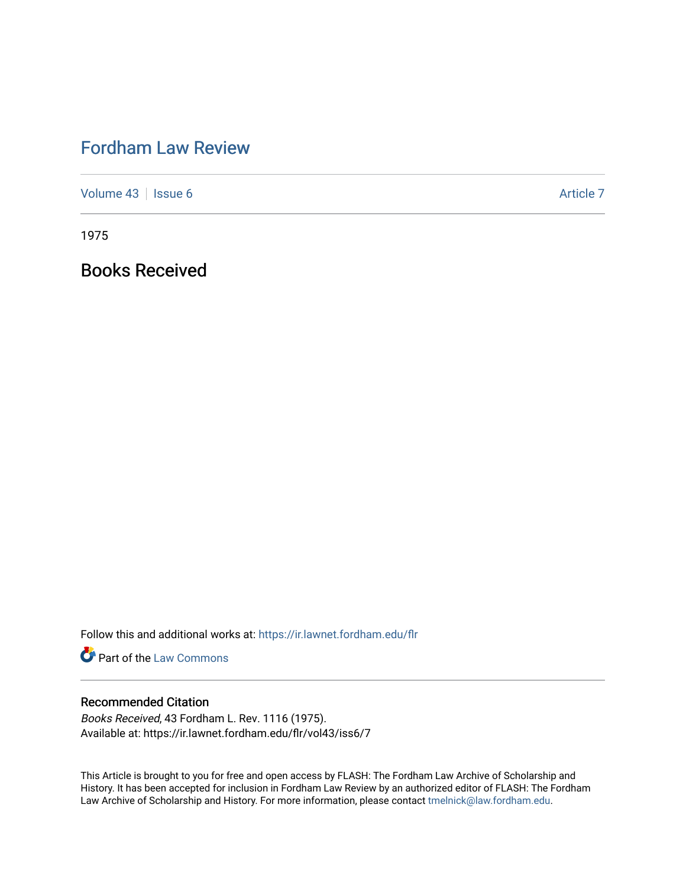## [Fordham Law Review](https://ir.lawnet.fordham.edu/flr)

[Volume 43](https://ir.lawnet.fordham.edu/flr/vol43) | [Issue 6](https://ir.lawnet.fordham.edu/flr/vol43/iss6) Article 7

1975

Books Received

Follow this and additional works at: [https://ir.lawnet.fordham.edu/flr](https://ir.lawnet.fordham.edu/flr?utm_source=ir.lawnet.fordham.edu%2Fflr%2Fvol43%2Fiss6%2F7&utm_medium=PDF&utm_campaign=PDFCoverPages)

**Part of the [Law Commons](http://network.bepress.com/hgg/discipline/578?utm_source=ir.lawnet.fordham.edu%2Fflr%2Fvol43%2Fiss6%2F7&utm_medium=PDF&utm_campaign=PDFCoverPages)** 

## Recommended Citation

Books Received, 43 Fordham L. Rev. 1116 (1975). Available at: https://ir.lawnet.fordham.edu/flr/vol43/iss6/7

This Article is brought to you for free and open access by FLASH: The Fordham Law Archive of Scholarship and History. It has been accepted for inclusion in Fordham Law Review by an authorized editor of FLASH: The Fordham Law Archive of Scholarship and History. For more information, please contact [tmelnick@law.fordham.edu](mailto:tmelnick@law.fordham.edu).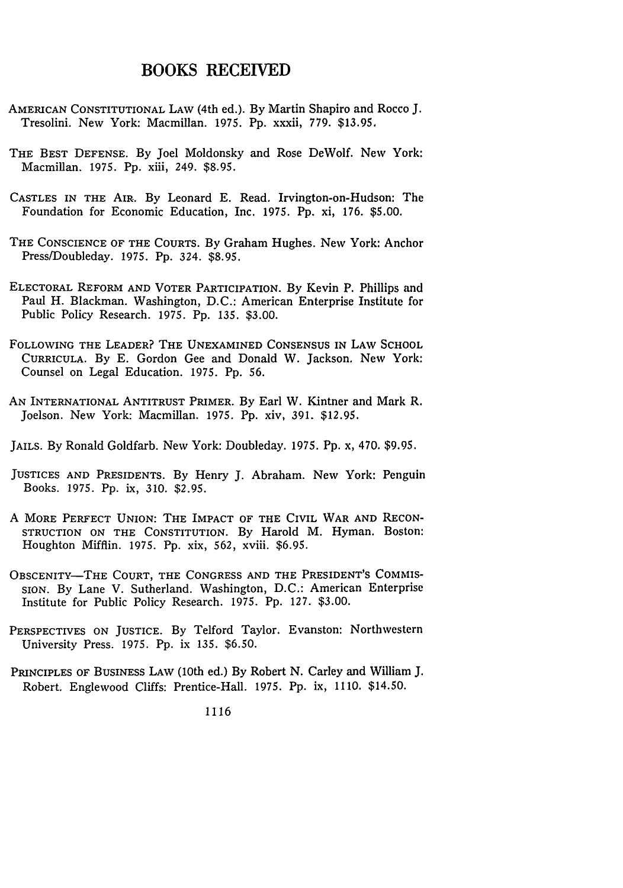## BOOKS RECEIVED

- AMERICAN CONSTITUTIONAL LAW (4th ed.). By Martin Shapiro and Rocco J. Tresolini. New York: Macmillan. 1975. Pp. xxxii, 779. \$13.95,
- THE BEST DEFENSE. By Joel Moldonsky and Rose DeWolf. New York: Macmillan. 1975. Pp. xiii, 249. \$8.95.
- CASTLES IN THE AIR. By Leonard E. Read. Irvington-on-Hudson: The Foundation for Economic Education, Inc. 1975. Pp. xi, 176. \$5.00.
- THE CONSCIENCE OF THE COURTS. By Graham Hughes. New York: Anchor Press/Doubleday. 1975. Pp. 324. \$8.95.
- ELECTORAL REFORM AND VOTER PARTICIPATION. By Kevin P. Phillips and Paul H. Blackman. Washington, D.C.: American Enterprise Institute for Public Policy Research. 1975. Pp. 135. \$3.00.
- FOLLOWING THE LEADER? THE UNEXAMINED CONSENSUS IN LAW SCHOOL CURRICULA. By E. Gordon Gee and Donald W. Jackson. New York: Counsel on Legal Education. 1975. Pp. **56.**
- AN INTERNATIONAL ANTITRUST PRIMER. By Earl W. Kintner and Mark R. Joelson. New York: Macmillan. 1975. Pp. xiv, 391. \$12.95.
- JAILS. By Ronald Goldfarb. New York: Doubleday. 1975. Pp. x, 470. \$9.95.
- JUSTICES AND PRESIDENTS. By Henry J. Abraham. New York: Penguin Books. 1975. Pp. ix, 310. \$2.95.
- A MORE PERFECT UNION: THE IMPACT OF THE CIVIL WAR **AND** RECON-STRUCTION ON THE CONSTITUTION. By Harold M. Hyman. Boston: Houghton Mifflin. 1975. Pp. xix, 562, xviii. \$6.95.
- OBSCENITY-THE COURT, THE CONGRESS AND THE PRESIDENT'S COMMIS-SION. By Lane V. Sutherland. Washington, D.C.: American Enterprise Institute for Public Policy Research. 1975. Pp. 127. \$3.00.
- PERSPECTIVES ON JUSTICE. By Telford Taylor. Evanston: Northwestern University Press. 1975. Pp. ix 135. \$6.50.
- PRINCIPLES OF BUSINESS LAW (10th ed.) By Robert N. Carley and William J. Robert. Englewood Cliffs: Prentice-Hall. 1975. Pp. ix, 1110. \$14.50.

1116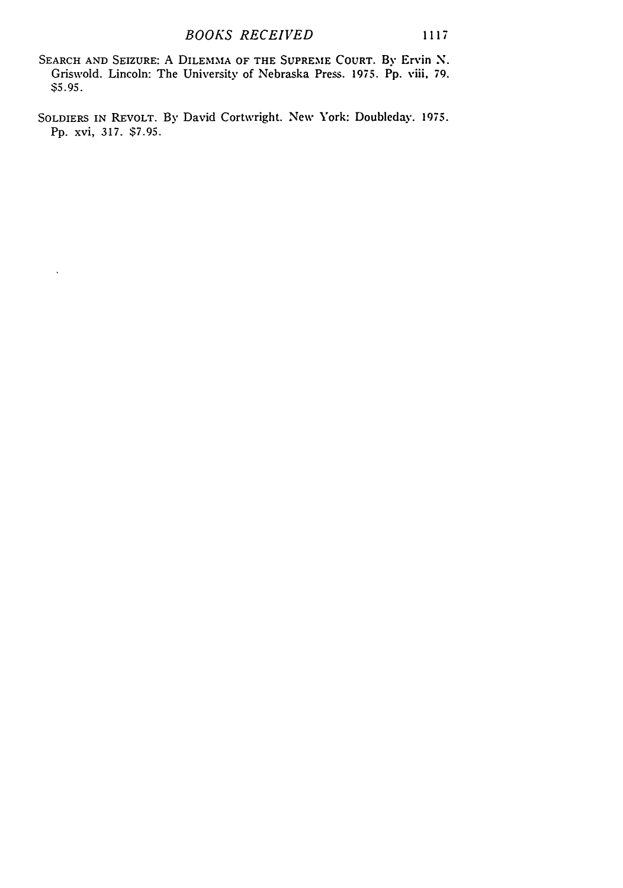SEARCH AND SEIZURE: A DILEMMA OF THE SUPREME COURT. By Ervin N. Griswold. Lincoln: The University of Nebraska Press. 1975. Pp. viii, 79. \$5.95.

SOLDIERS IN REVOLT. By David Cortwright. New York: Doubleday. 1975. Pp. xvi, 317. \$7.95.

 $\ddot{\phantom{0}}$